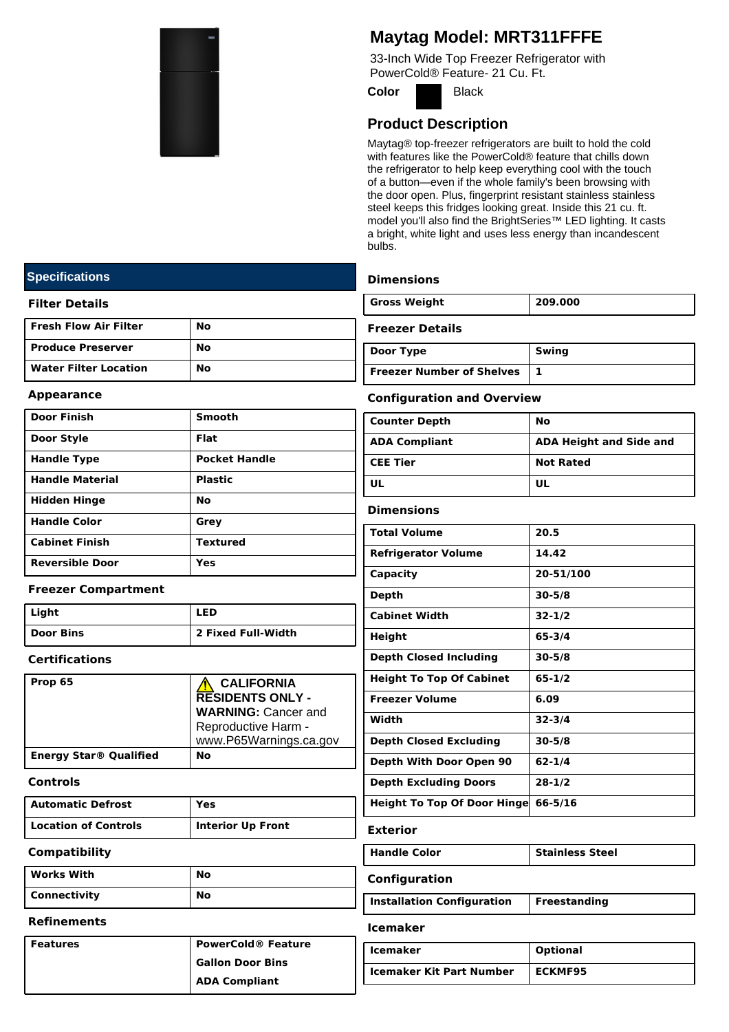

# **Maytag Model: MRT311FFFE**

33-Inch Wide Top Freezer Refrigerator with PowerCold® Feature- 21 Cu. Ft.

**Color** Black

## **Product Description**

Maytag® top-freezer refrigerators are built to hold the cold with features like the PowerCold® feature that chills down the refrigerator to help keep everything cool with the touch of a button—even if the whole family's been browsing with the door open. Plus, fingerprint resistant stainless stainless steel keeps this fridges looking great. Inside this 21 cu. ft. model you'll also find the BrightSeries™ LED lighting. It casts a bright, white light and uses less energy than incandescent bulbs.

## **Dimensions**

| <b>Gross Weight</b><br>209.000 |
|--------------------------------|
|--------------------------------|

| <b>Freezer Details</b> |  |
|------------------------|--|
|------------------------|--|

| Door Type                 | Swing |
|---------------------------|-------|
| Freezer Number of Shelves |       |

#### **Configuration and Overview**

| Counter Depth        | No                             |
|----------------------|--------------------------------|
| <b>ADA Compliant</b> | <b>ADA Height and Side and</b> |
| <b>CEE Tier</b>      | <b>Not Rated</b>               |
| UL                   | UL                             |

### **Dimensions**

| 14.42<br>20-51/100 |
|--------------------|
|                    |
|                    |
| $30 - 5/8$         |
| $32 - 1/2$         |
| $65 - 3/4$         |
| $30 - 5/8$         |
| $65 - 1/2$         |
| 6.09               |
| $32 - 3/4$         |
| $30 - 5/8$         |
| $62 - 1/4$         |
| $28 - 1/2$         |
| 66-5/16            |
|                    |

## **Exterior**

| Handle Color | <b>Stainless Steel</b> |
|--------------|------------------------|
|              |                        |

## **Configuration**

**Installation Configuration Freestanding** 

#### **Icemaker**

| lcemaker                   | <b>Optional</b> |
|----------------------------|-----------------|
| l Icemaker Kit Part Number | <b>ECKMF95</b>  |

## **Specifications**

## **Filter Details**

| l Fresh Flow Air Filter      | No |
|------------------------------|----|
| <b>Produce Preserver</b>     | No |
| <b>Water Filter Location</b> | No |

#### **Appearance**

| <b>Door Finish</b>     | <b>Smooth</b>        |
|------------------------|----------------------|
| Door Style             | Flat                 |
| <b>Handle Type</b>     | <b>Pocket Handle</b> |
| <b>Handle Material</b> | <b>Plastic</b>       |
| <b>Hidden Hinge</b>    | No                   |
| <b>Handle Color</b>    | Grey                 |
| <b>Cabinet Finish</b>  | <b>Textured</b>      |
| <b>Reversible Door</b> | Yes                  |

#### **Freezer Compartment**

| Light       | LED                            |
|-------------|--------------------------------|
| l Door Bins | $^{\prime}$ 2 Fixed Full-Width |

#### **Certifications**

| Prop 65                       | <b>CALIFORNIA</b><br><b>RESIDENTS ONLY -</b><br><b>WARNING: Cancer and</b><br>Reproductive Harm -<br>www.P65Warnings.ca.gov |
|-------------------------------|-----------------------------------------------------------------------------------------------------------------------------|
|                               |                                                                                                                             |
| <b>Energy Star® Qualified</b> | No                                                                                                                          |

#### **Controls**

| <b>Automatic Defrost</b>    | Yes                      |
|-----------------------------|--------------------------|
| <b>Location of Controls</b> | <b>Interior Up Front</b> |

## **Compatibility**

| Works With          | No |
|---------------------|----|
| <b>Connectivity</b> | No |

#### **Refinements**

| <b>Features</b> | <b>PowerCold® Feature</b> |
|-----------------|---------------------------|
|                 | <b>Gallon Door Bins</b>   |
|                 | <b>ADA Compliant</b>      |